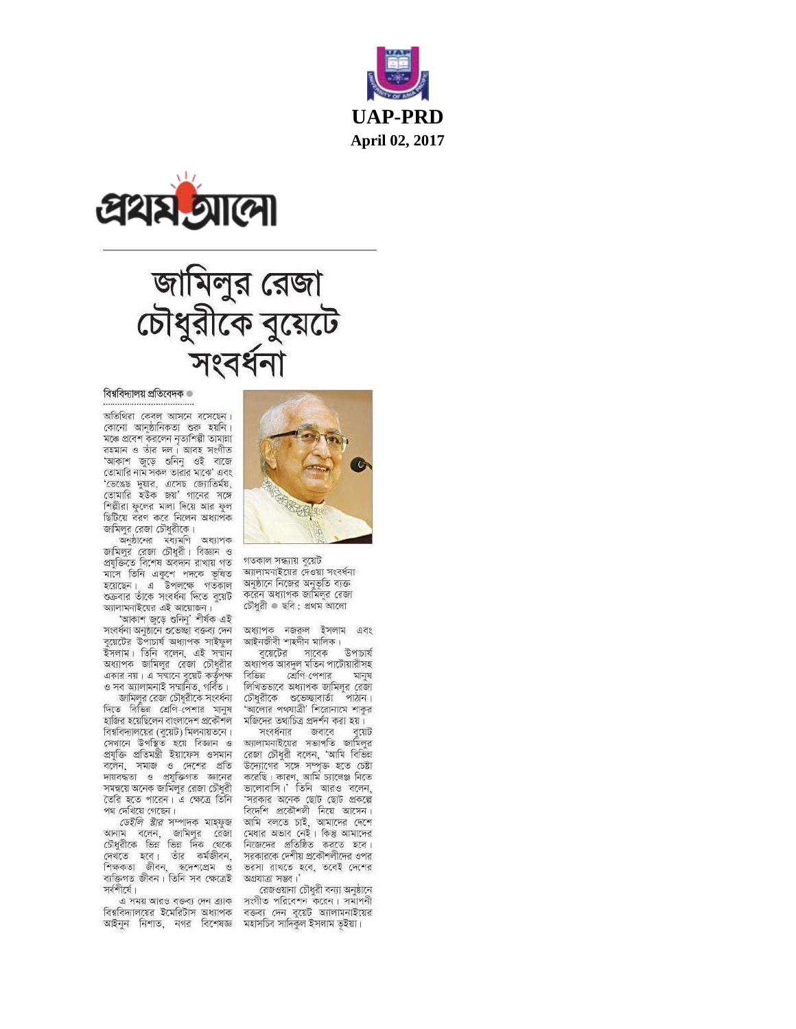





#### বিশ্ববিদ্যালয় প্ৰতিবেদক <sup>®</sup>

অতিথিরা কেবল আসনে বসেছেন। কোনো আনুষ্ঠানিকতা শুরু হয়নি। মঞ্চে প্রবেশ করলেন নত্যশিল্পী তামালা রহমান ও তাঁর দল। আবহ সংগীত 'আকাশ জড়ে শুনিন ওই বাজে তোমারি নাম সকল তারার মাঝে' এবং 'ভেঙেছ দুয়ার, এসেছ জ্যোতির্ময়, তোমারি হউক জয়া পানের সঙ্গে<br>শিল্পীরা ফুলের মালা দিয়ে আর ফুল ছিটিয়ে বরণ করে নিলেন অধ্যাপক জামিলুর রেজা চৌধুরীকে।

অনষ্ঠানের মধ্যমণি অধ্যাপক জামিলুর রেজা চৌধুরী। বিজ্ঞান ও প্ৰযুক্তিতে বিশেষ অবদান রাখায় গত মাসে তিনি একুশে পদকে ভূষিত<br>হয়েছেন। এ উপলক্ষে গতকাল শুক্রবার তাঁকে সংবর্ধনা দিতে বুয়েট আলামনাইয়ের এই আয়োজন।

'আকাশ জুড়ে ওনিনু' শীৰ্ষক এই সংবৰ্ধনা অনুষ্ঠানে গুভেচ্ছা বক্তব্য দেন বুয়েটের উপাচার্য অধ্যাপক সাইফুল ইসলাম। তিনি বলেন, এই সন্মান অধ্যাপক জামিলুর রেজা চৌধুরীর একার নয়। এ সম্মানে বুয়েট কর্তৃপক্ষ ও সব অ্যালামনাই সন্মানিত, গৰ্বিত।

জামিলুর রেজা চৌধুরীকে সংবর্ধনা দিতে বিভিন্ন শ্রেণি-পেশার মানুষ হাজির হয়েছিলেন বাংলাদেশ প্রকৌশল বিশ্ববিদ্যালয়ের (বয়েট) মিলনায়তনে। সেখানে উপস্থিত হয়ে বিজ্ঞান ও প্ৰযুক্তি প্ৰতিমন্ত্ৰী ইয়াফেস ওসমান বলেন, সমাজ ও দেশের প্রতি দায়বদ্ধতা ও প্রযুক্তিগত জ্ঞানের সমন্বয়ে অনেক জামিলুর রেজা চৌধুরী তৈরি হতে পারেন। এ ক্ষেত্রে তিনি পথ দেখিয়ে গেছেন।

ডেইলি ষ্টার সম্পাদক মাহফুজ আনাম বলেন, জামিলুর রেজা চৌধুরীকে ভিন্ন ভিন্ন দিক থেকে দেখতে হবে। তাঁর কর্মজীবন, শিক্ষকতা জীবন, স্বদেশপ্ৰেম ও ব্যক্তিগত জীবন। তিনি সব ক্ষেত্রেই সর্বশীর্ষে।

এ সময় আরও বক্তব্য দেন ব্র্যাক বিশ্ববিদ্যালয়ের ইমেরিটাস অধ্যাপক আইনুন নিশাত, নগর বিশেষজ্ঞ মহাসচিব-সাদিকুল-ইসলাম-ভূইয়া।



গতকাল সন্ধ্যায় বয়েট আলামনাইয়ের দেওয়া সংবর্ধনা অনুষ্ঠানে নিজের অনুভূতি ব্যক্ত করেন অধ্যাপক জামিলর রেজা চৌধুরী <sup>®</sup> ছবি : প্রথম আলো

অধ্যাপক নজরুল ইসলাম এবং আইনজীবী শাহদীন মালিক।

বয়েটের সাবেক উপাচার্য অধ্যাপক আবদুল মতিন পাটোয়ারীসহ বিভিন্ন শ্রোগ-পেশার মানয লিখিতভাবে অধ্যাপক জামিলুর রেজা চৌধুরীকে শুভেচ্ছাবার্তা পাঠান। 'আলোর পথযাত্রী' শিরোনামে শাকুর মজিদের তথ্যচিত্র প্রদর্শন করা হয়।

সংবর্ধনার জবাবে বয়েট অ্যালামনাইয়ের সভাপতি জামিলুর রেজা চৌধুরী বলেন, 'আমি বিভিল উদ্যোগের সঙ্গে সম্পত্ত হতে চেষ্টা করেছি। কারণ, আমি চ্যালেঞ্জ নিতে<br>ভালোবাসি।' তিনি আরও বলেন, 'সরকার অনেক ছোট ছোট প্রকল্পে বিদেশি প্রকৌশলী নিয়ে আসেন। আমি বলতে চাই, আমাদের দেশে মেধার অভাব নেই। কিন্তু আমাদের নিজেদের প্রতিষ্ঠিত করতে হবে। সরকারকে দেশীয় প্রকৌশলীদের ওপর ভরসা রাখতে হবে, তবেই দেশের অগ্রযাত্রা সম্ভব।

রেজওয়ানা চৌধুরী বন্যা অনুষ্ঠানে সংগীত পরিবেশন করেন। সমাপনী বক্তব্য দেন বুয়েট অ্যালামনাইয়ের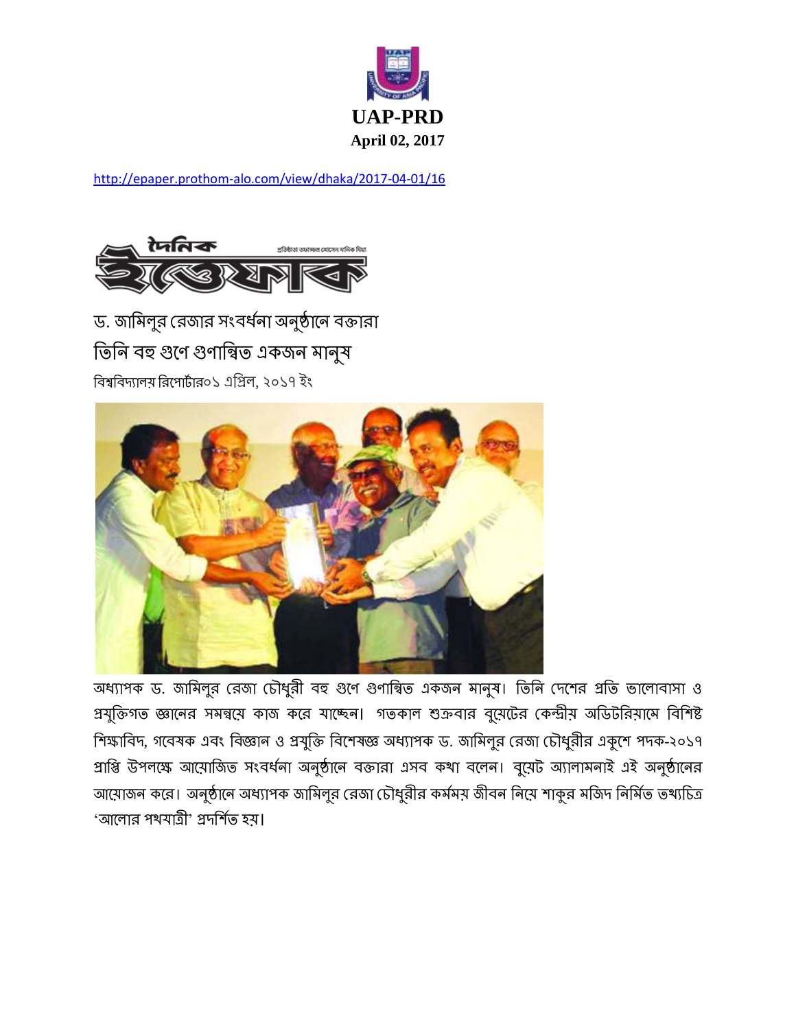

<http://epaper.prothom-alo.com/view/dhaka/2017-04-01/16>



ড. জামিলুর রেজার সংবর্ধনা অনুষ্ঠানে বক্তারা তিনি বহু গুণে গুণান্বিত একজন মানুষ বিশ্ববিদ্যালয় রিপোর্টার০১ এপ্রিল, ২০১৭ ইং



অধ্যাপক ড. জামিলুর রেজা চৌধুরী বহু গুণে গুণান্বিত একজন মানুষ। তিনি দেশের প্রতি ভালোবাসা ও প্রযুক্তিগত জ্ঞানের সমন্বয়ে কাজ করে যাচ্ছেন। গতকাল শুক্রবার বুয়েটের কেন্দ্রীয় অডিটরিয়ামে বিশিষ্ট শিক্ষাবিদ, গবেষক এবং বিজ্ঞান ও প্রযুক্তি বিশেষজ্ঞ অধ্যাপক ড. জামিলুর রেজা চৌধুরীর একুশে পদক-২০১৭ প্রাপ্তি উপলক্ষে আয়োজিত সংবর্ধনা অনুষ্ঠানে বক্তারা এসব কথা বলেন। বুয়েট অ্যালামনাই এই অনুষ্ঠানের আয়োজন করে। অনুষ্ঠানে অধ্যাপক জামিলুর রেজা চৌধুরীর কর্মময় জীবন নিয়ে শাকুর মজিদ নির্মিত তথ্যচিত্র 'আলোর পথযাত্রী' প্রদর্শিত হয।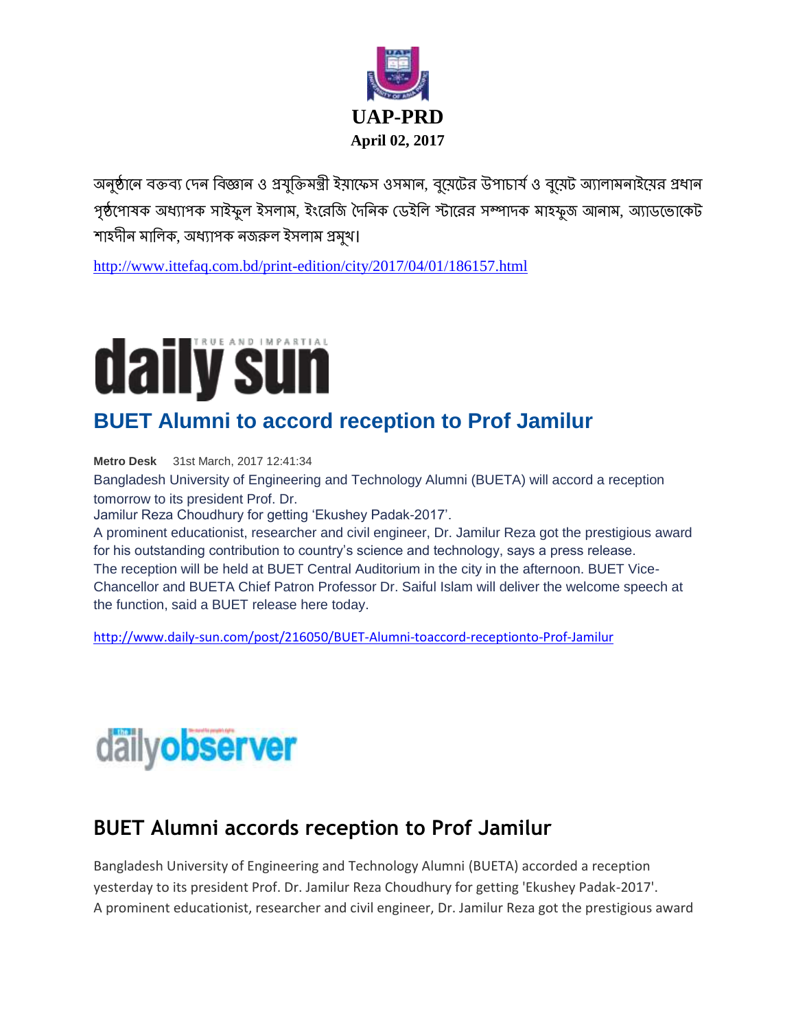

অনুষ্ঠানে বক্তব্য দেন বিজ্ঞান ও প্রযুক্তিমন্ত্রী ইয়াফেস ওসমান, বুয়েটের উপাচার্য ও বুয়েট অ্যালামনাইয়ের প্রধান গৃষ্ঠপোষক অধ্যাপক সাইফুল ইসলাম, ইংরেজি দৈনিক ডেইলি স্টারের সম্পাদক মাহফুজ আনাম, অ্যাডভোকেট শাহদীন মালিক, অধ্যাপক নজরুল ইসলাম প্রমুখ।

<http://www.ittefaq.com.bd/print-edition/city/2017/04/01/186157.html>



## **BUET Alumni to accord reception to Prof Jamilur**

**Metro Desk** 31st March, 2017 12:41:34

Bangladesh University of Engineering and Technology Alumni (BUETA) will accord a reception tomorrow to its president Prof. Dr.

Jamilur Reza Choudhury for getting 'Ekushey Padak-2017'.

A prominent educationist, researcher and civil engineer, Dr. Jamilur Reza got the prestigious award for his outstanding contribution to country's science and technology, says a press release. The reception will be held at BUET Central Auditorium in the city in the afternoon. BUET Vice-Chancellor and BUETA Chief Patron Professor Dr. Saiful Islam will deliver the welcome speech at the function, said a BUET release here today.

<http://www.daily-sun.com/post/216050/BUET-Alumni-toaccord-receptionto-Prof-Jamilur>



### **[BUET Alumni accords reception to Prof Jamilur](http://www.observerbd.com/details.php?id=66407)**

Bangladesh University of Engineering and Technology Alumni (BUETA) accorded a reception yesterday to its president Prof. Dr. Jamilur Reza Choudhury for getting 'Ekushey Padak-2017'. A prominent educationist, researcher and civil engineer, Dr. Jamilur Reza got the prestigious award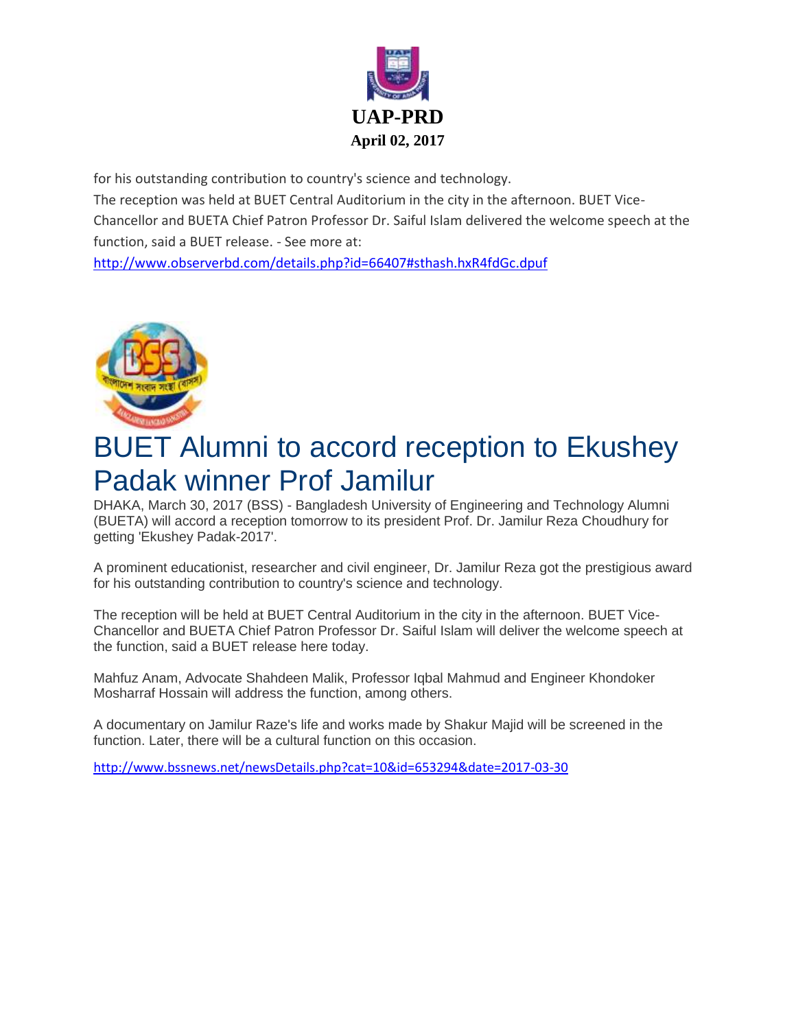

for his outstanding contribution to country's science and technology. The reception was held at BUET Central Auditorium in the city in the afternoon. BUET Vice-Chancellor and BUETA Chief Patron Professor Dr. Saiful Islam delivered the welcome speech at the function, said a BUET release. - See more at:

<http://www.observerbd.com/details.php?id=66407#sthash.hxR4fdGc.dpuf>



## BUET Alumni to accord reception to Ekushey Padak winner Prof Jamilur

DHAKA, March 30, 2017 (BSS) - Bangladesh University of Engineering and Technology Alumni (BUETA) will accord a reception tomorrow to its president Prof. Dr. Jamilur Reza Choudhury for getting 'Ekushey Padak-2017'.

A prominent educationist, researcher and civil engineer, Dr. Jamilur Reza got the prestigious award for his outstanding contribution to country's science and technology.

The reception will be held at BUET Central Auditorium in the city in the afternoon. BUET Vice-Chancellor and BUETA Chief Patron Professor Dr. Saiful Islam will deliver the welcome speech at the function, said a BUET release here today.

Mahfuz Anam, Advocate Shahdeen Malik, Professor Iqbal Mahmud and Engineer Khondoker Mosharraf Hossain will address the function, among others.

A documentary on Jamilur Raze's life and works made by Shakur Majid will be screened in the function. Later, there will be a cultural function on this occasion.

<http://www.bssnews.net/newsDetails.php?cat=10&id=653294&date=2017-03-30>